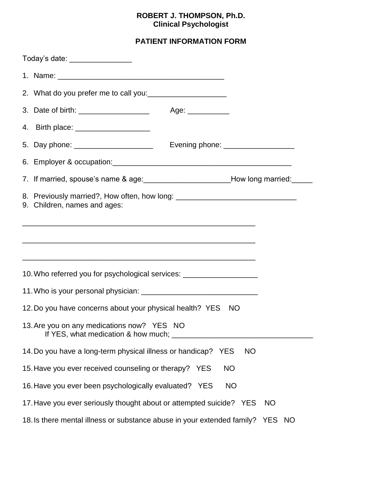#### **ROBERT J. THOMPSON, Ph.D. Clinical Psychologist**

### **PATIENT INFORMATION FORM**

| Today's date: ________________                                                                                   |                                    |           |           |
|------------------------------------------------------------------------------------------------------------------|------------------------------------|-----------|-----------|
|                                                                                                                  |                                    |           |           |
| 2. What do you prefer me to call you:<br><u> and you</u> and you are the call you:                               |                                    |           |           |
|                                                                                                                  |                                    |           |           |
| 4. Birth place: ______________________                                                                           |                                    |           |           |
| 5. Day phone: _______________________                                                                            | Evening phone: ___________________ |           |           |
|                                                                                                                  |                                    |           |           |
| 7. If married, spouse's name & age: ____________________________How long married: _____                          |                                    |           |           |
| 8. Previously married?, How often, how long: ___________________________________<br>9. Children, names and ages: |                                    |           |           |
|                                                                                                                  |                                    |           |           |
| 10. Who referred you for psychological services: _______________________________                                 |                                    |           |           |
|                                                                                                                  |                                    |           |           |
| 12. Do you have concerns about your physical health? YES                                                         |                                    | <b>NO</b> |           |
| 13. Are you on any medications now? YES NO<br>If YES, what medication & how much; ____                           |                                    |           |           |
| 14. Do you have a long-term physical illness or handicap?                                                        | <b>YES</b>                         | <b>NO</b> |           |
| 15. Have you ever received counseling or therapy? YES                                                            |                                    | <b>NO</b> |           |
| 16. Have you ever been psychologically evaluated? YES                                                            |                                    | <b>NO</b> |           |
| 17. Have you ever seriously thought about or attempted suicide? YES                                              |                                    |           | <b>NO</b> |
| 18. Is there mental illness or substance abuse in your extended family? YES NO                                   |                                    |           |           |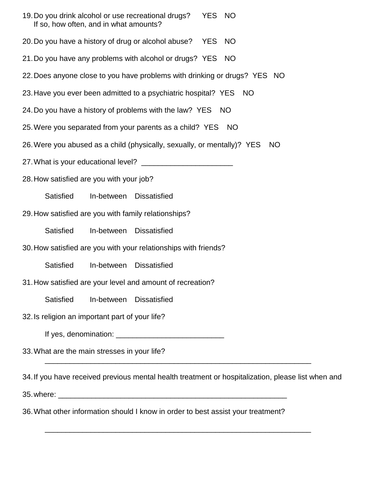- 19.Do you drink alcohol or use recreational drugs? YES NO If so, how often, and in what amounts?
- 20.Do you have a history of drug or alcohol abuse? YES NO
- 21.Do you have any problems with alcohol or drugs? YES NO
- 22.Does anyone close to you have problems with drinking or drugs? YES NO
- 23. Have you ever been admitted to a psychiatric hospital? YES NO
- 24.Do you have a history of problems with the law? YES NO
- 25.Were you separated from your parents as a child? YES NO
- 26.Were you abused as a child (physically, sexually, or mentally)? YES NO
- 27.What is your educational level? \_\_\_\_\_\_\_\_\_\_\_\_\_\_\_\_\_\_\_\_\_\_
- 28.How satisfied are you with your job?
	- Satisfied In-between Dissatisfied
- 29.How satisfied are you with family relationships?
	- Satisfied In-between Dissatisfied
- 30.How satisfied are you with your relationships with friends?
	- Satisfied In-between Dissatisfied
- 31.How satisfied are your level and amount of recreation?
	- Satisfied In-between Dissatisfied
- 32.Is religion an important part of your life?
	- If yes, denomination: \_\_\_\_\_\_\_\_\_\_\_\_\_\_\_\_\_\_\_\_\_\_\_\_\_\_
- 33.What are the main stresses in your life?
- 34.If you have received previous mental health treatment or hospitalization, please list when and

\_\_\_\_\_\_\_\_\_\_\_\_\_\_\_\_\_\_\_\_\_\_\_\_\_\_\_\_\_\_\_\_\_\_\_\_\_\_\_\_\_\_\_\_\_\_\_\_\_\_\_\_\_\_\_\_\_\_\_\_\_\_\_\_

\_\_\_\_\_\_\_\_\_\_\_\_\_\_\_\_\_\_\_\_\_\_\_\_\_\_\_\_\_\_\_\_\_\_\_\_\_\_\_\_\_\_\_\_\_\_\_\_\_\_\_\_\_\_\_\_\_\_\_\_\_\_\_\_

- 35. where:  $\blacksquare$
- 36.What other information should I know in order to best assist your treatment?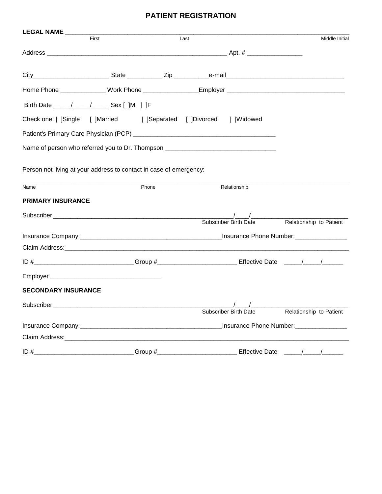#### **PATIENT REGISTRATION**

| LEGAL NAME                                                                                                |       |       |      |                                     |                                                                                  |
|-----------------------------------------------------------------------------------------------------------|-------|-------|------|-------------------------------------|----------------------------------------------------------------------------------|
|                                                                                                           | First |       | Last |                                     | Middle Initial                                                                   |
|                                                                                                           |       |       |      |                                     |                                                                                  |
|                                                                                                           |       |       |      |                                     |                                                                                  |
|                                                                                                           |       |       |      |                                     |                                                                                  |
| Birth Date _____/_____/_______ Sex [ ]M [ ]F                                                              |       |       |      |                                     |                                                                                  |
| Check one: [ ]Single [ ]Married [ ]Separated [ ]Divorced                                                  |       |       |      | [ ]Widowed                          |                                                                                  |
|                                                                                                           |       |       |      |                                     |                                                                                  |
| Name of person who referred you to Dr. Thompson ________________________________                          |       |       |      |                                     |                                                                                  |
| Person not living at your address to contact in case of emergency:                                        |       |       |      |                                     |                                                                                  |
| Name                                                                                                      |       | Phone |      | Relationship                        |                                                                                  |
| <b>PRIMARY INSURANCE</b>                                                                                  |       |       |      |                                     |                                                                                  |
|                                                                                                           |       |       |      | <b>Subscriber Birth Date</b>        | Relationship to Patient                                                          |
|                                                                                                           |       |       |      |                                     |                                                                                  |
|                                                                                                           |       |       |      |                                     |                                                                                  |
| ID #_____________________________Group #_____________________________Effective Date _____/_____/_________ |       |       |      |                                     |                                                                                  |
|                                                                                                           |       |       |      |                                     |                                                                                  |
| <b>SECONDARY INSURANCE</b>                                                                                |       |       |      |                                     |                                                                                  |
| Subscriber                                                                                                |       |       |      | $\sqrt{2}$<br>Subscriber Birth Date | Relationship to Patient                                                          |
|                                                                                                           |       |       |      |                                     |                                                                                  |
|                                                                                                           |       |       |      |                                     |                                                                                  |
|                                                                                                           |       |       |      |                                     | _Group #___________________________________ Effective Date ______/______/_______ |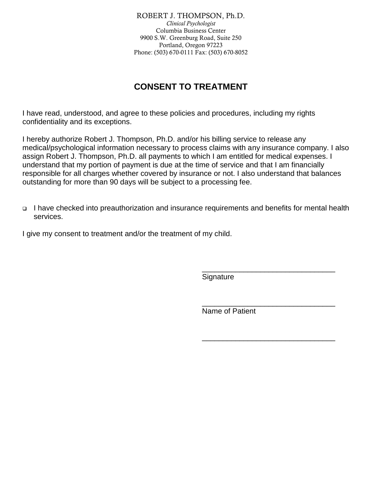ROBERT J. THOMPSON, Ph.D. *Clinical Psychologist* Columbia Business Center 9900 S.W. Greenburg Road, Suite 250 Portland, Oregon 97223 Phone: (503) 670-0111 Fax: (503) 670-8052

# **CONSENT TO TREATMENT**

I have read, understood, and agree to these policies and procedures, including my rights confidentiality and its exceptions.

I hereby authorize Robert J. Thompson, Ph.D. and/or his billing service to release any medical/psychological information necessary to process claims with any insurance company. I also assign Robert J. Thompson, Ph.D. all payments to which I am entitled for medical expenses. I understand that my portion of payment is due at the time of service and that I am financially responsible for all charges whether covered by insurance or not. I also understand that balances outstanding for more than 90 days will be subject to a processing fee.

□ I have checked into preauthorization and insurance requirements and benefits for mental health services.

I give my consent to treatment and/or the treatment of my child.

**Signature** 

Name of Patient

\_\_\_\_\_\_\_\_\_\_\_\_\_\_\_\_\_\_\_\_\_\_\_\_\_\_\_\_\_\_\_\_

\_\_\_\_\_\_\_\_\_\_\_\_\_\_\_\_\_\_\_\_\_\_\_\_\_\_\_\_\_\_\_\_

\_\_\_\_\_\_\_\_\_\_\_\_\_\_\_\_\_\_\_\_\_\_\_\_\_\_\_\_\_\_\_\_